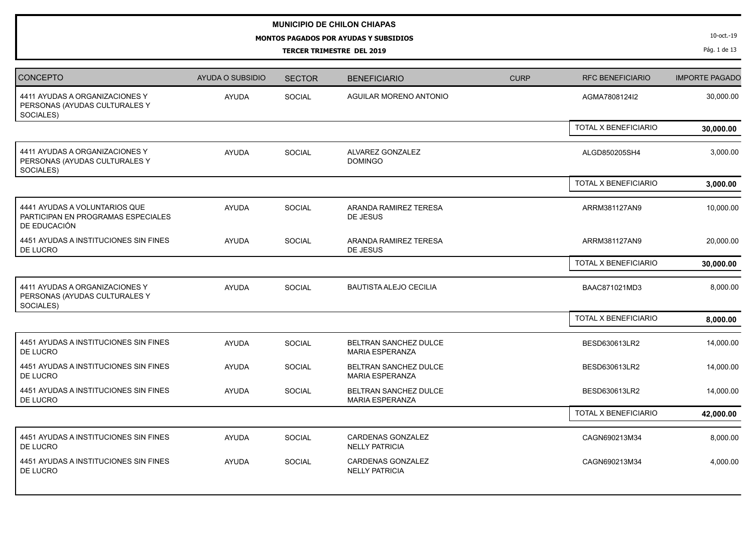## **MUNICIPIO DE CHILON CHIAPAS**

**MONTOS PAGADOS POR AYUDAS Y SUBSIDIOS**

**TERCER TRIMESTRE DEL 2019**

10-oct.-19

Pág. 1 de 13

| <b>CONCEPTO</b>                                                                     | AYUDA O SUBSIDIO | <b>SECTOR</b> | <b>BENEFICIARIO</b>                                    | <b>CURP</b> | <b>RFC BENEFICIARIO</b>     | <b>IMPORTE PAGADO</b> |
|-------------------------------------------------------------------------------------|------------------|---------------|--------------------------------------------------------|-------------|-----------------------------|-----------------------|
| 4411 AYUDAS A ORGANIZACIONES Y<br>PERSONAS (AYUDAS CULTURALES Y<br>SOCIALES)        | <b>AYUDA</b>     | <b>SOCIAL</b> | AGUILAR MORENO ANTONIO                                 |             | AGMA7808124I2               | 30,000.00             |
|                                                                                     |                  |               |                                                        |             | <b>TOTAL X BENEFICIARIO</b> | 30,000.00             |
| 4411 AYUDAS A ORGANIZACIONES Y<br>PERSONAS (AYUDAS CULTURALES Y<br>SOCIALES)        | <b>AYUDA</b>     | <b>SOCIAL</b> | ALVAREZ GONZALEZ<br><b>DOMINGO</b>                     |             | ALGD850205SH4               | 3,000.00              |
|                                                                                     |                  |               |                                                        |             | TOTAL X BENEFICIARIO        | 3,000.00              |
| 4441 AYUDAS A VOLUNTARIOS QUE<br>PARTICIPAN EN PROGRAMAS ESPECIALES<br>DE EDUCACIÓN | <b>AYUDA</b>     | SOCIAL        | ARANDA RAMIREZ TERESA<br>DE JESUS                      |             | ARRM381127AN9               | 10,000.00             |
| 4451 AYUDAS A INSTITUCIONES SIN FINES<br>DE LUCRO                                   | <b>AYUDA</b>     | <b>SOCIAL</b> | ARANDA RAMIREZ TERESA<br>DE JESUS                      |             | ARRM381127AN9               | 20,000.00             |
|                                                                                     |                  |               |                                                        |             | TOTAL X BENEFICIARIO        | 30,000.00             |
| 4411 AYUDAS A ORGANIZACIONES Y<br>PERSONAS (AYUDAS CULTURALES Y<br>SOCIALES)        | <b>AYUDA</b>     | SOCIAL        | <b>BAUTISTA ALEJO CECILIA</b>                          |             | BAAC871021MD3               | 8,000.00              |
|                                                                                     |                  |               |                                                        |             | <b>TOTAL X BENEFICIARIO</b> | 8,000.00              |
| 4451 AYUDAS A INSTITUCIONES SIN FINES<br>DE LUCRO                                   | <b>AYUDA</b>     | SOCIAL        | BELTRAN SANCHEZ DULCE<br><b>MARIA ESPERANZA</b>        |             | BESD630613LR2               | 14,000.00             |
| 4451 AYUDAS A INSTITUCIONES SIN FINES<br>DE LUCRO                                   | <b>AYUDA</b>     | <b>SOCIAL</b> | BELTRAN SANCHEZ DULCE<br><b>MARIA ESPERANZA</b>        |             | BESD630613LR2               | 14,000.00             |
| 4451 AYUDAS A INSTITUCIONES SIN FINES<br>DE LUCRO                                   | <b>AYUDA</b>     | <b>SOCIAL</b> | <b>BELTRAN SANCHEZ DULCE</b><br><b>MARIA ESPERANZA</b> |             | BESD630613LR2               | 14,000.00             |
|                                                                                     |                  |               |                                                        |             | TOTAL X BENEFICIARIO        | 42,000.00             |
| 4451 AYUDAS A INSTITUCIONES SIN FINES<br>DE LUCRO                                   | <b>AYUDA</b>     | SOCIAL        | CARDENAS GONZALEZ<br><b>NELLY PATRICIA</b>             |             | CAGN690213M34               | 8,000.00              |
| 4451 AYUDAS A INSTITUCIONES SIN FINES<br>DE LUCRO                                   | <b>AYUDA</b>     | SOCIAL        | CARDENAS GONZALEZ<br><b>NELLY PATRICIA</b>             |             | CAGN690213M34               | 4,000.00              |
|                                                                                     |                  |               |                                                        |             |                             |                       |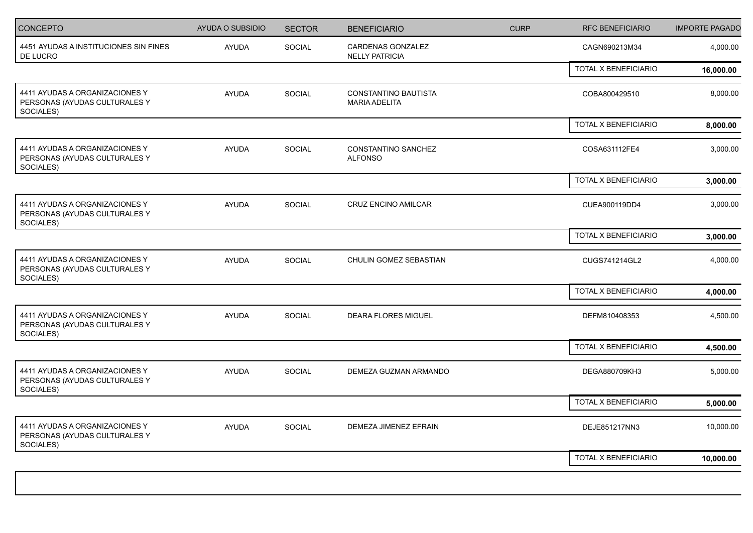| <b>CONCEPTO</b>                                                              | <b>AYUDA O SUBSIDIO</b> | <b>SECTOR</b> | <b>BENEFICIARIO</b>                          | <b>CURP</b> | <b>RFC BENEFICIARIO</b>     | <b>IMPORTE PAGADO</b> |
|------------------------------------------------------------------------------|-------------------------|---------------|----------------------------------------------|-------------|-----------------------------|-----------------------|
| 4451 AYUDAS A INSTITUCIONES SIN FINES<br>DE LUCRO                            | <b>AYUDA</b>            | SOCIAL        | CARDENAS GONZALEZ<br><b>NELLY PATRICIA</b>   |             | CAGN690213M34               | 4,000.00              |
|                                                                              |                         |               |                                              |             | TOTAL X BENEFICIARIO        | 16,000.00             |
| 4411 AYUDAS A ORGANIZACIONES Y<br>PERSONAS (AYUDAS CULTURALES Y<br>SOCIALES) | <b>AYUDA</b>            | SOCIAL        | CONSTANTINO BAUTISTA<br><b>MARIA ADELITA</b> |             | COBA800429510               | 8,000.00              |
|                                                                              |                         |               |                                              |             | TOTAL X BENEFICIARIO        | 8,000.00              |
| 4411 AYUDAS A ORGANIZACIONES Y<br>PERSONAS (AYUDAS CULTURALES Y<br>SOCIALES) | AYUDA                   | SOCIAL        | CONSTANTINO SANCHEZ<br><b>ALFONSO</b>        |             | COSA631112FE4               | 3,000.00              |
|                                                                              |                         |               |                                              |             | <b>TOTAL X BENEFICIARIO</b> | 3,000.00              |
| 4411 AYUDAS A ORGANIZACIONES Y<br>PERSONAS (AYUDAS CULTURALES Y<br>SOCIALES) | <b>AYUDA</b>            | SOCIAL        | <b>CRUZ ENCINO AMILCAR</b>                   |             | CUEA900119DD4               | 3,000.00              |
|                                                                              |                         |               |                                              |             | TOTAL X BENEFICIARIO        | 3,000.00              |
| 4411 AYUDAS A ORGANIZACIONES Y<br>PERSONAS (AYUDAS CULTURALES Y<br>SOCIALES) | <b>AYUDA</b>            | SOCIAL        | CHULIN GOMEZ SEBASTIAN                       |             | CUGS741214GL2               | 4,000.00              |
|                                                                              |                         |               |                                              |             | TOTAL X BENEFICIARIO        | 4,000.00              |
| 4411 AYUDAS A ORGANIZACIONES Y<br>PERSONAS (AYUDAS CULTURALES Y<br>SOCIALES) | <b>AYUDA</b>            | SOCIAL        | <b>DEARA FLORES MIGUEL</b>                   |             | DEFM810408353               | 4,500.00              |
|                                                                              |                         |               |                                              |             | TOTAL X BENEFICIARIO        | 4,500.00              |
| 4411 AYUDAS A ORGANIZACIONES Y<br>PERSONAS (AYUDAS CULTURALES Y<br>SOCIALES) | <b>AYUDA</b>            | SOCIAL        | DEMEZA GUZMAN ARMANDO                        |             | DEGA880709KH3               | 5,000.00              |
|                                                                              |                         |               |                                              |             | TOTAL X BENEFICIARIO        | 5,000.00              |
| 4411 AYUDAS A ORGANIZACIONES Y<br>PERSONAS (AYUDAS CULTURALES Y<br>SOCIALES) | <b>AYUDA</b>            | SOCIAL        | DEMEZA JIMENEZ EFRAIN                        |             | DEJE851217NN3               | 10,000.00             |
|                                                                              |                         |               |                                              |             | TOTAL X BENEFICIARIO        | 10,000.00             |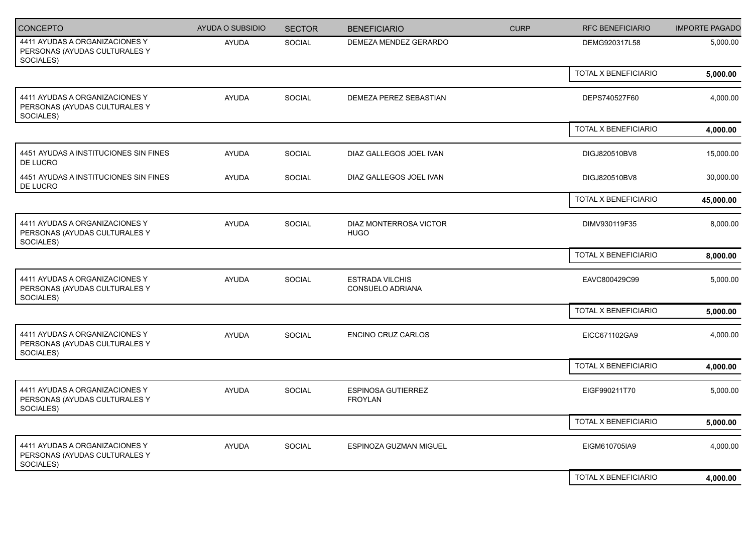| CONCEPTO                                                                     | AYUDA O SUBSIDIO | <b>SECTOR</b> | <b>BENEFICIARIO</b>                         | <b>CURP</b> | <b>RFC BENEFICIARIO</b> | <b>IMPORTE PAGADO</b> |
|------------------------------------------------------------------------------|------------------|---------------|---------------------------------------------|-------------|-------------------------|-----------------------|
| 4411 AYUDAS A ORGANIZACIONES Y<br>PERSONAS (AYUDAS CULTURALES Y<br>SOCIALES) | <b>AYUDA</b>     | SOCIAL        | DEMEZA MENDEZ GERARDO                       |             | DEMG920317L58           | 5,000.00              |
|                                                                              |                  |               |                                             |             | TOTAL X BENEFICIARIO    | 5,000.00              |
| 4411 AYUDAS A ORGANIZACIONES Y<br>PERSONAS (AYUDAS CULTURALES Y<br>SOCIALES) | <b>AYUDA</b>     | SOCIAL        | DEMEZA PEREZ SEBASTIAN                      |             | DEPS740527F60           | 4,000.00              |
|                                                                              |                  |               |                                             |             | TOTAL X BENEFICIARIO    | 4,000.00              |
| 4451 AYUDAS A INSTITUCIONES SIN FINES<br>DE LUCRO                            | <b>AYUDA</b>     | SOCIAL        | DIAZ GALLEGOS JOEL IVAN                     |             | DIGJ820510BV8           | 15,000.00             |
| 4451 AYUDAS A INSTITUCIONES SIN FINES<br>DE LUCRO                            | AYUDA            | <b>SOCIAL</b> | DIAZ GALLEGOS JOEL IVAN                     |             | DIGJ820510BV8           | 30,000.00             |
|                                                                              |                  |               |                                             |             | TOTAL X BENEFICIARIO    | 45,000.00             |
| 4411 AYUDAS A ORGANIZACIONES Y<br>PERSONAS (AYUDAS CULTURALES Y<br>SOCIALES) | AYUDA            | <b>SOCIAL</b> | DIAZ MONTERROSA VICTOR<br><b>HUGO</b>       |             | DIMV930119F35           | 8,000.00              |
|                                                                              |                  |               |                                             |             | TOTAL X BENEFICIARIO    | 8,000.00              |
| 4411 AYUDAS A ORGANIZACIONES Y<br>PERSONAS (AYUDAS CULTURALES Y<br>SOCIALES) | AYUDA            | SOCIAL        | <b>ESTRADA VILCHIS</b><br>CONSUELO ADRIANA  |             | EAVC800429C99           | 5,000.00              |
|                                                                              |                  |               |                                             |             | TOTAL X BENEFICIARIO    | 5,000.00              |
| 4411 AYUDAS A ORGANIZACIONES Y<br>PERSONAS (AYUDAS CULTURALES Y<br>SOCIALES) | AYUDA            | <b>SOCIAL</b> | <b>ENCINO CRUZ CARLOS</b>                   |             | EICC671102GA9           | 4,000.00              |
|                                                                              |                  |               |                                             |             | TOTAL X BENEFICIARIO    | 4,000.00              |
| 4411 AYUDAS A ORGANIZACIONES Y<br>PERSONAS (AYUDAS CULTURALES Y<br>SOCIALES) | <b>AYUDA</b>     | SOCIAL        | <b>ESPINOSA GUTIERREZ</b><br><b>FROYLAN</b> |             | EIGF990211T70           | 5,000.00              |
|                                                                              |                  |               |                                             |             | TOTAL X BENEFICIARIO    | 5,000.00              |
| 4411 AYUDAS A ORGANIZACIONES Y<br>PERSONAS (AYUDAS CULTURALES Y<br>SOCIALES) | <b>AYUDA</b>     | SOCIAL        | ESPINOZA GUZMAN MIGUEL                      |             | EIGM610705IA9           | 4,000.00              |
|                                                                              |                  |               |                                             |             | TOTAL X BENEFICIARIO    | 4,000.00              |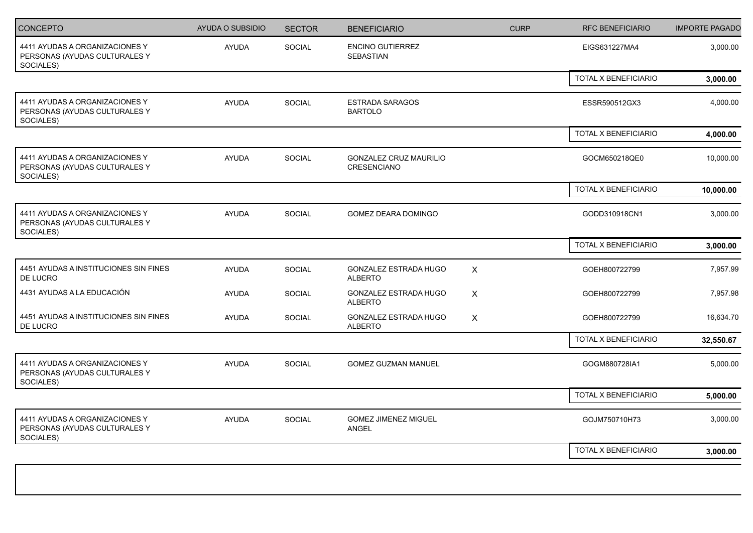| <b>CONCEPTO</b>                                                              | <b>AYUDA O SUBSIDIO</b> | <b>SECTOR</b> | <b>BENEFICIARIO</b>                                 | <b>CURP</b>               | <b>RFC BENEFICIARIO</b> | <b>IMPORTE PAGADO</b> |
|------------------------------------------------------------------------------|-------------------------|---------------|-----------------------------------------------------|---------------------------|-------------------------|-----------------------|
| 4411 AYUDAS A ORGANIZACIONES Y<br>PERSONAS (AYUDAS CULTURALES Y<br>SOCIALES) | <b>AYUDA</b>            | SOCIAL        | <b>ENCINO GUTIERREZ</b><br>SEBASTIAN                |                           | EIGS631227MA4           | 3,000.00              |
|                                                                              |                         |               |                                                     |                           | TOTAL X BENEFICIARIO    | 3,000.00              |
| 4411 AYUDAS A ORGANIZACIONES Y<br>PERSONAS (AYUDAS CULTURALES Y<br>SOCIALES) | <b>AYUDA</b>            | SOCIAL        | <b>ESTRADA SARAGOS</b><br><b>BARTOLO</b>            |                           | ESSR590512GX3           | 4,000.00              |
|                                                                              |                         |               |                                                     |                           | TOTAL X BENEFICIARIO    | 4,000.00              |
| 4411 AYUDAS A ORGANIZACIONES Y<br>PERSONAS (AYUDAS CULTURALES Y<br>SOCIALES) | <b>AYUDA</b>            | SOCIAL        | <b>GONZALEZ CRUZ MAURILIO</b><br><b>CRESENCIANO</b> |                           | GOCM650218QE0           | 10,000.00             |
|                                                                              |                         |               |                                                     |                           | TOTAL X BENEFICIARIO    | 10,000.00             |
| 4411 AYUDAS A ORGANIZACIONES Y<br>PERSONAS (AYUDAS CULTURALES Y<br>SOCIALES) | <b>AYUDA</b>            | SOCIAL        | GOMEZ DEARA DOMINGO                                 |                           | GODD310918CN1           | 3,000.00              |
|                                                                              |                         |               |                                                     |                           | TOTAL X BENEFICIARIO    | 3,000.00              |
| 4451 AYUDAS A INSTITUCIONES SIN FINES<br>DE LUCRO                            | <b>AYUDA</b>            | SOCIAL        | GONZALEZ ESTRADA HUGO<br><b>ALBERTO</b>             | $\mathsf{X}$              | GOEH800722799           | 7,957.99              |
| 4431 AYUDAS A LA EDUCACIÓN                                                   | <b>AYUDA</b>            | SOCIAL        | GONZALEZ ESTRADA HUGO<br><b>ALBERTO</b>             | $\boldsymbol{\mathsf{X}}$ | GOEH800722799           | 7,957.98              |
| 4451 AYUDAS A INSTITUCIONES SIN FINES<br>DE LUCRO                            | AYUDA                   | SOCIAL        | GONZALEZ ESTRADA HUGO<br><b>ALBERTO</b>             | $\boldsymbol{\mathsf{X}}$ | GOEH800722799           | 16,634.70             |
|                                                                              |                         |               |                                                     |                           | TOTAL X BENEFICIARIO    | 32,550.67             |
| 4411 AYUDAS A ORGANIZACIONES Y<br>PERSONAS (AYUDAS CULTURALES Y<br>SOCIALES) | <b>AYUDA</b>            | SOCIAL        | <b>GOMEZ GUZMAN MANUEL</b>                          |                           | GOGM880728IA1           | 5,000.00              |
|                                                                              |                         |               |                                                     |                           | TOTAL X BENEFICIARIO    | 5,000.00              |
| 4411 AYUDAS A ORGANIZACIONES Y<br>PERSONAS (AYUDAS CULTURALES Y<br>SOCIALES) | <b>AYUDA</b>            | SOCIAL        | <b>GOMEZ JIMENEZ MIGUEL</b><br><b>ANGEL</b>         |                           | GOJM750710H73           | 3,000.00              |
|                                                                              |                         |               |                                                     |                           | TOTAL X BENEFICIARIO    | 3,000.00              |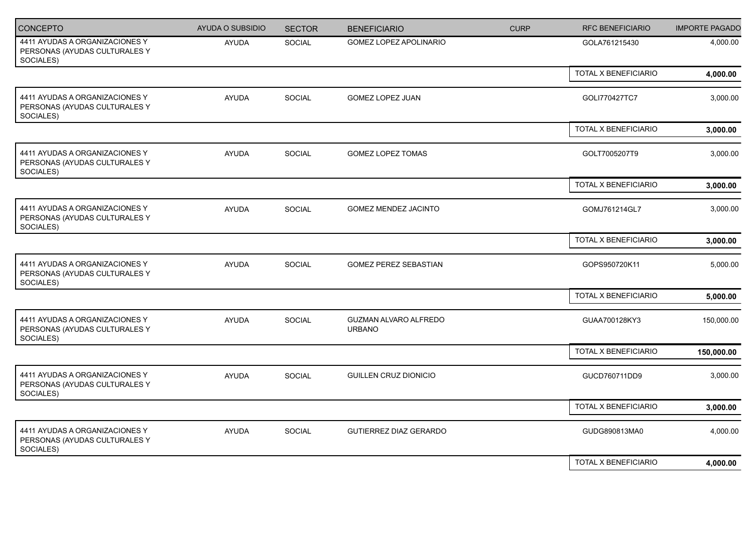| <b>CONCEPTO</b>                                                              | <b>AYUDA O SUBSIDIO</b> | <b>SECTOR</b> | <b>BENEFICIARIO</b>                    | <b>CURP</b> | <b>RFC BENEFICIARIO</b> | <b>IMPORTE PAGADO</b> |
|------------------------------------------------------------------------------|-------------------------|---------------|----------------------------------------|-------------|-------------------------|-----------------------|
| 4411 AYUDAS A ORGANIZACIONES Y<br>PERSONAS (AYUDAS CULTURALES Y<br>SOCIALES) | <b>AYUDA</b>            | SOCIAL        | <b>GOMEZ LOPEZ APOLINARIO</b>          |             | GOLA761215430           | 4,000.00              |
|                                                                              |                         |               |                                        |             | TOTAL X BENEFICIARIO    | 4,000.00              |
| 4411 AYUDAS A ORGANIZACIONES Y<br>PERSONAS (AYUDAS CULTURALES Y<br>SOCIALES) | AYUDA                   | SOCIAL        | GOMEZ LOPEZ JUAN                       |             | GOLI770427TC7           | 3,000.00              |
|                                                                              |                         |               |                                        |             | TOTAL X BENEFICIARIO    | 3,000.00              |
| 4411 AYUDAS A ORGANIZACIONES Y<br>PERSONAS (AYUDAS CULTURALES Y<br>SOCIALES) | <b>AYUDA</b>            | SOCIAL        | GOMEZ LOPEZ TOMAS                      |             | GOLT7005207T9           | 3,000.00              |
|                                                                              |                         |               |                                        |             | TOTAL X BENEFICIARIO    | 3,000.00              |
| 4411 AYUDAS A ORGANIZACIONES Y<br>PERSONAS (AYUDAS CULTURALES Y<br>SOCIALES) | AYUDA                   | SOCIAL        | GOMEZ MENDEZ JACINTO                   |             | GOMJ761214GL7           | 3,000.00              |
|                                                                              |                         |               |                                        |             | TOTAL X BENEFICIARIO    | 3,000.00              |
| 4411 AYUDAS A ORGANIZACIONES Y<br>PERSONAS (AYUDAS CULTURALES Y<br>SOCIALES) | <b>AYUDA</b>            | SOCIAL        | <b>GOMEZ PEREZ SEBASTIAN</b>           |             | GOPS950720K11           | 5,000.00              |
|                                                                              |                         |               |                                        |             | TOTAL X BENEFICIARIO    | 5,000.00              |
| 4411 AYUDAS A ORGANIZACIONES Y<br>PERSONAS (AYUDAS CULTURALES Y<br>SOCIALES) | <b>AYUDA</b>            | SOCIAL        | GUZMAN ALVARO ALFREDO<br><b>URBANO</b> |             | GUAA700128KY3           | 150,000.00            |
|                                                                              |                         |               |                                        |             | TOTAL X BENEFICIARIO    | 150,000.00            |
| 4411 AYUDAS A ORGANIZACIONES Y<br>PERSONAS (AYUDAS CULTURALES Y<br>SOCIALES) | <b>AYUDA</b>            | SOCIAL        | GUILLEN CRUZ DIONICIO                  |             | GUCD760711DD9           | 3,000.00              |
|                                                                              |                         |               |                                        |             | TOTAL X BENEFICIARIO    | 3,000.00              |
| 4411 AYUDAS A ORGANIZACIONES Y<br>PERSONAS (AYUDAS CULTURALES Y<br>SOCIALES) | <b>AYUDA</b>            | SOCIAL        | <b>GUTIERREZ DIAZ GERARDO</b>          |             | GUDG890813MA0           | 4,000.00              |
|                                                                              |                         |               |                                        |             | TOTAL X BENEFICIARIO    | 4,000.00              |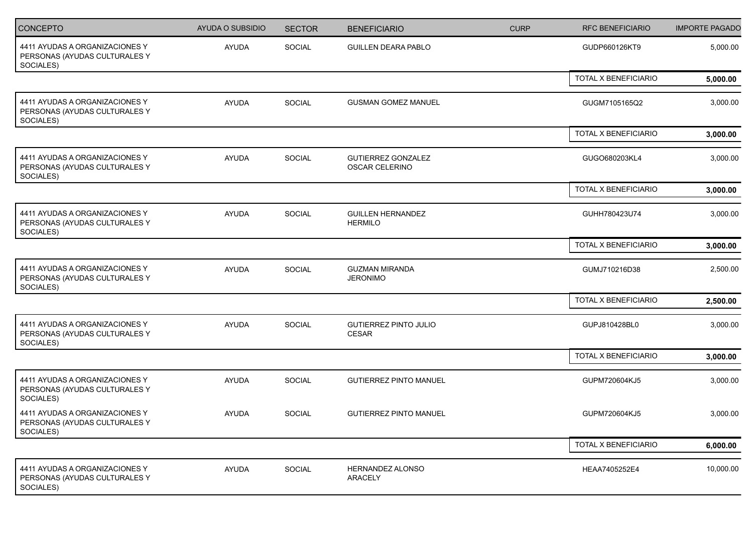| CONCEPTO                                                                     | AYUDA O SUBSIDIO | <b>SECTOR</b> | <b>BENEFICIARIO</b>                          | <b>CURP</b> | <b>RFC BENEFICIARIO</b> | <b>IMPORTE PAGADO</b> |
|------------------------------------------------------------------------------|------------------|---------------|----------------------------------------------|-------------|-------------------------|-----------------------|
| 4411 AYUDAS A ORGANIZACIONES Y<br>PERSONAS (AYUDAS CULTURALES Y<br>SOCIALES) | <b>AYUDA</b>     | SOCIAL        | <b>GUILLEN DEARA PABLO</b>                   |             | GUDP660126KT9           | 5,000.00              |
|                                                                              |                  |               |                                              |             | TOTAL X BENEFICIARIO    | 5,000.00              |
| 4411 AYUDAS A ORGANIZACIONES Y<br>PERSONAS (AYUDAS CULTURALES Y<br>SOCIALES) | AYUDA            | SOCIAL        | <b>GUSMAN GOMEZ MANUEL</b>                   |             | GUGM7105165Q2           | 3,000.00              |
|                                                                              |                  |               |                                              |             | TOTAL X BENEFICIARIO    | 3,000.00              |
| 4411 AYUDAS A ORGANIZACIONES Y<br>PERSONAS (AYUDAS CULTURALES Y<br>SOCIALES) | <b>AYUDA</b>     | SOCIAL        | <b>GUTIERREZ GONZALEZ</b><br>OSCAR CELERINO  |             | GUGO680203KL4           | 3,000.00              |
|                                                                              |                  |               |                                              |             | TOTAL X BENEFICIARIO    | 3,000.00              |
| 4411 AYUDAS A ORGANIZACIONES Y<br>PERSONAS (AYUDAS CULTURALES Y<br>SOCIALES) | <b>AYUDA</b>     | SOCIAL        | <b>GUILLEN HERNANDEZ</b><br><b>HERMILO</b>   |             | GUHH780423U74           | 3,000.00              |
|                                                                              |                  |               |                                              |             | TOTAL X BENEFICIARIO    | 3,000.00              |
| 4411 AYUDAS A ORGANIZACIONES Y<br>PERSONAS (AYUDAS CULTURALES Y<br>SOCIALES) | <b>AYUDA</b>     | SOCIAL        | <b>GUZMAN MIRANDA</b><br><b>JERONIMO</b>     |             | GUMJ710216D38           | 2,500.00              |
|                                                                              |                  |               |                                              |             | TOTAL X BENEFICIARIO    | 2,500.00              |
| 4411 AYUDAS A ORGANIZACIONES Y<br>PERSONAS (AYUDAS CULTURALES Y<br>SOCIALES) | <b>AYUDA</b>     | SOCIAL        | <b>GUTIERREZ PINTO JULIO</b><br><b>CESAR</b> |             | GUPJ810428BL0           | 3,000.00              |
|                                                                              |                  |               |                                              |             | TOTAL X BENEFICIARIO    | 3,000.00              |
| 4411 AYUDAS A ORGANIZACIONES Y<br>PERSONAS (AYUDAS CULTURALES Y<br>SOCIALES) | <b>AYUDA</b>     | SOCIAL        | <b>GUTIERREZ PINTO MANUEL</b>                |             | GUPM720604KJ5           | 3,000.00              |
| 4411 AYUDAS A ORGANIZACIONES Y<br>PERSONAS (AYUDAS CULTURALES Y<br>SOCIALES) | <b>AYUDA</b>     | <b>SOCIAL</b> | <b>GUTIERREZ PINTO MANUEL</b>                |             | GUPM720604KJ5           | 3,000.00              |
|                                                                              |                  |               |                                              |             | TOTAL X BENEFICIARIO    | 6,000.00              |
| 4411 AYUDAS A ORGANIZACIONES Y<br>PERSONAS (AYUDAS CULTURALES Y<br>SOCIALES) | AYUDA            | SOCIAL        | HERNANDEZ ALONSO<br>ARACELY                  |             | HEAA7405252E4           | 10,000.00             |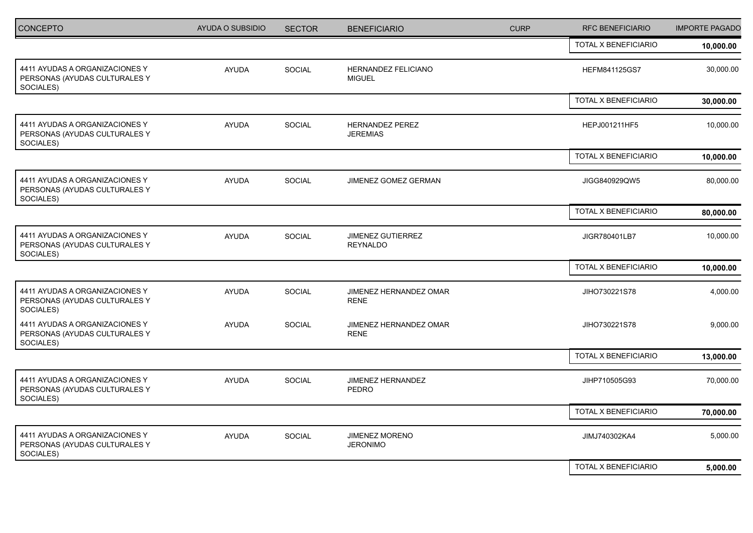| <b>CONCEPTO</b>                                                              | <b>AYUDA O SUBSIDIO</b> | <b>SECTOR</b> | <b>BENEFICIARIO</b>                         | <b>CURP</b> | <b>RFC BENEFICIARIO</b> | <b>IMPORTE PAGADO</b> |
|------------------------------------------------------------------------------|-------------------------|---------------|---------------------------------------------|-------------|-------------------------|-----------------------|
|                                                                              |                         |               |                                             |             | TOTAL X BENEFICIARIO    | 10,000.00             |
| 4411 AYUDAS A ORGANIZACIONES Y<br>PERSONAS (AYUDAS CULTURALES Y<br>SOCIALES) | <b>AYUDA</b>            | SOCIAL        | HERNANDEZ FELICIANO<br><b>MIGUEL</b>        |             | HEFM841125GS7           | 30,000.00             |
|                                                                              |                         |               |                                             |             | TOTAL X BENEFICIARIO    | 30,000.00             |
| 4411 AYUDAS A ORGANIZACIONES Y<br>PERSONAS (AYUDAS CULTURALES Y<br>SOCIALES) | <b>AYUDA</b>            | SOCIAL        | <b>HERNANDEZ PEREZ</b><br><b>JEREMIAS</b>   |             | HEPJ001211HF5           | 10,000.00             |
|                                                                              |                         |               |                                             |             | TOTAL X BENEFICIARIO    | 10,000.00             |
| 4411 AYUDAS A ORGANIZACIONES Y<br>PERSONAS (AYUDAS CULTURALES Y<br>SOCIALES) | <b>AYUDA</b>            | <b>SOCIAL</b> | JIMENEZ GOMEZ GERMAN                        |             | JIGG840929QW5           | 80,000.00             |
|                                                                              |                         |               |                                             |             | TOTAL X BENEFICIARIO    | 80,000.00             |
| 4411 AYUDAS A ORGANIZACIONES Y<br>PERSONAS (AYUDAS CULTURALES Y<br>SOCIALES) | <b>AYUDA</b>            | SOCIAL        | <b>JIMENEZ GUTIERREZ</b><br><b>REYNALDO</b> |             | JIGR780401LB7           | 10,000.00             |
|                                                                              |                         |               |                                             |             | TOTAL X BENEFICIARIO    | 10,000.00             |
| 4411 AYUDAS A ORGANIZACIONES Y<br>PERSONAS (AYUDAS CULTURALES Y<br>SOCIALES) | <b>AYUDA</b>            | SOCIAL        | JIMENEZ HERNANDEZ OMAR<br><b>RENE</b>       |             | JIHO730221S78           | 4,000.00              |
| 4411 AYUDAS A ORGANIZACIONES Y<br>PERSONAS (AYUDAS CULTURALES Y<br>SOCIALES) | <b>AYUDA</b>            | <b>SOCIAL</b> | JIMENEZ HERNANDEZ OMAR<br><b>RENE</b>       |             | JIHO730221S78           | 9,000.00              |
|                                                                              |                         |               |                                             |             | TOTAL X BENEFICIARIO    | 13,000.00             |
| 4411 AYUDAS A ORGANIZACIONES Y<br>PERSONAS (AYUDAS CULTURALES Y<br>SOCIALES) | <b>AYUDA</b>            | SOCIAL        | JIMENEZ HERNANDEZ<br><b>PEDRO</b>           |             | JIHP710505G93           | 70,000.00             |
|                                                                              |                         |               |                                             |             | TOTAL X BENEFICIARIO    | 70,000.00             |
| 4411 AYUDAS A ORGANIZACIONES Y<br>PERSONAS (AYUDAS CULTURALES Y<br>SOCIALES) | <b>AYUDA</b>            | SOCIAL        | JIMENEZ MORENO<br><b>JERONIMO</b>           |             | JIMJ740302KA4           | 5,000.00              |
|                                                                              |                         |               |                                             |             | TOTAL X BENEFICIARIO    | 5,000.00              |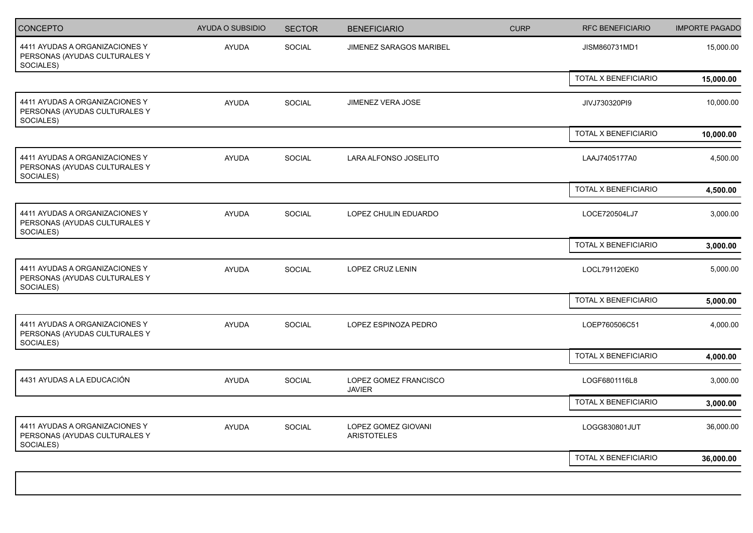| CONCEPTO                                                                     | AYUDA O SUBSIDIO | <b>SECTOR</b> | <b>BENEFICIARIO</b>                       | <b>CURP</b> | <b>RFC BENEFICIARIO</b> | <b>IMPORTE PAGADO</b> |
|------------------------------------------------------------------------------|------------------|---------------|-------------------------------------------|-------------|-------------------------|-----------------------|
| 4411 AYUDAS A ORGANIZACIONES Y<br>PERSONAS (AYUDAS CULTURALES Y<br>SOCIALES) | <b>AYUDA</b>     | SOCIAL        | JIMENEZ SARAGOS MARIBEL                   |             | JISM860731MD1           | 15,000.00             |
|                                                                              |                  |               |                                           |             | TOTAL X BENEFICIARIO    | 15,000.00             |
| 4411 AYUDAS A ORGANIZACIONES Y<br>PERSONAS (AYUDAS CULTURALES Y<br>SOCIALES) | <b>AYUDA</b>     | SOCIAL        | <b>JIMENEZ VERA JOSE</b>                  |             | JIVJ730320PI9           | 10,000.00             |
|                                                                              |                  |               |                                           |             | TOTAL X BENEFICIARIO    | 10,000.00             |
| 4411 AYUDAS A ORGANIZACIONES Y<br>PERSONAS (AYUDAS CULTURALES Y<br>SOCIALES) | <b>AYUDA</b>     | SOCIAL        | LARA ALFONSO JOSELITO                     |             | LAAJ7405177A0           | 4,500.00              |
|                                                                              |                  |               |                                           |             | TOTAL X BENEFICIARIO    | 4,500.00              |
| 4411 AYUDAS A ORGANIZACIONES Y<br>PERSONAS (AYUDAS CULTURALES Y<br>SOCIALES) | <b>AYUDA</b>     | <b>SOCIAL</b> | LOPEZ CHULIN EDUARDO                      |             | LOCE720504LJ7           | 3,000.00              |
|                                                                              |                  |               |                                           |             | TOTAL X BENEFICIARIO    | 3,000.00              |
| 4411 AYUDAS A ORGANIZACIONES Y<br>PERSONAS (AYUDAS CULTURALES Y<br>SOCIALES) | <b>AYUDA</b>     | <b>SOCIAL</b> | LOPEZ CRUZ LENIN                          |             | LOCL791120EK0           | 5,000.00              |
|                                                                              |                  |               |                                           |             | TOTAL X BENEFICIARIO    | 5,000.00              |
| 4411 AYUDAS A ORGANIZACIONES Y<br>PERSONAS (AYUDAS CULTURALES Y<br>SOCIALES) | AYUDA            | SOCIAL        | LOPEZ ESPINOZA PEDRO                      |             | LOEP760506C51           | 4,000.00              |
|                                                                              |                  |               |                                           |             | TOTAL X BENEFICIARIO    | 4,000.00              |
| 4431 AYUDAS A LA EDUCACIÓN                                                   | AYUDA            | SOCIAL        | LOPEZ GOMEZ FRANCISCO<br><b>JAVIER</b>    |             | LOGF6801116L8           | 3,000.00              |
|                                                                              |                  |               |                                           |             | TOTAL X BENEFICIARIO    | 3,000.00              |
| 4411 AYUDAS A ORGANIZACIONES Y<br>PERSONAS (AYUDAS CULTURALES Y<br>SOCIALES) | <b>AYUDA</b>     | SOCIAL        | LOPEZ GOMEZ GIOVANI<br><b>ARISTOTELES</b> |             | LOGG830801JUT           | 36,000.00             |
|                                                                              |                  |               |                                           |             | TOTAL X BENEFICIARIO    | 36,000.00             |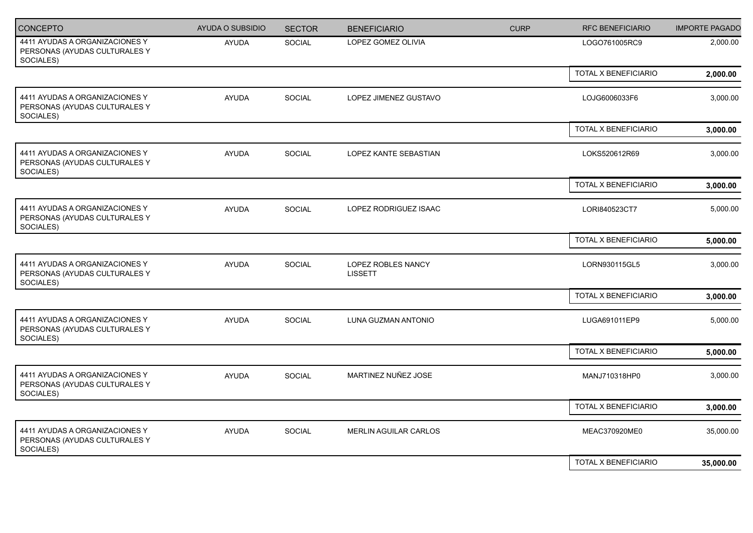| CONCEPTO                                                                     | <b>AYUDA O SUBSIDIO</b> | <b>SECTOR</b> | <b>BENEFICIARIO</b>                  | <b>CURP</b> | <b>RFC BENEFICIARIO</b> | <b>IMPORTE PAGADO</b> |
|------------------------------------------------------------------------------|-------------------------|---------------|--------------------------------------|-------------|-------------------------|-----------------------|
| 4411 AYUDAS A ORGANIZACIONES Y<br>PERSONAS (AYUDAS CULTURALES Y<br>SOCIALES) | <b>AYUDA</b>            | SOCIAL        | LOPEZ GOMEZ OLIVIA                   |             | LOGO761005RC9           | 2,000.00              |
|                                                                              |                         |               |                                      |             | TOTAL X BENEFICIARIO    | 2,000.00              |
| 4411 AYUDAS A ORGANIZACIONES Y<br>PERSONAS (AYUDAS CULTURALES Y<br>SOCIALES) | <b>AYUDA</b>            | SOCIAL        | LOPEZ JIMENEZ GUSTAVO                |             | LOJG6006033F6           | 3,000.00              |
|                                                                              |                         |               |                                      |             | TOTAL X BENEFICIARIO    | 3,000.00              |
| 4411 AYUDAS A ORGANIZACIONES Y<br>PERSONAS (AYUDAS CULTURALES Y<br>SOCIALES) | <b>AYUDA</b>            | SOCIAL        | LOPEZ KANTE SEBASTIAN                |             | LOKS520612R69           | 3,000.00              |
|                                                                              |                         |               |                                      |             | TOTAL X BENEFICIARIO    | 3,000.00              |
| 4411 AYUDAS A ORGANIZACIONES Y<br>PERSONAS (AYUDAS CULTURALES Y<br>SOCIALES) | <b>AYUDA</b>            | <b>SOCIAL</b> | LOPEZ RODRIGUEZ ISAAC                |             | LORI840523CT7           | 5,000.00              |
|                                                                              |                         |               |                                      |             | TOTAL X BENEFICIARIO    | 5,000.00              |
| 4411 AYUDAS A ORGANIZACIONES Y<br>PERSONAS (AYUDAS CULTURALES Y<br>SOCIALES) | <b>AYUDA</b>            | SOCIAL        | LOPEZ ROBLES NANCY<br><b>LISSETT</b> |             | LORN930115GL5           | 3,000.00              |
|                                                                              |                         |               |                                      |             | TOTAL X BENEFICIARIO    | 3,000.00              |
| 4411 AYUDAS A ORGANIZACIONES Y<br>PERSONAS (AYUDAS CULTURALES Y<br>SOCIALES) | AYUDA                   | SOCIAL        | LUNA GUZMAN ANTONIO                  |             | LUGA691011EP9           | 5,000.00              |
|                                                                              |                         |               |                                      |             | TOTAL X BENEFICIARIO    | 5,000.00              |
| 4411 AYUDAS A ORGANIZACIONES Y<br>PERSONAS (AYUDAS CULTURALES Y<br>SOCIALES) | AYUDA                   | SOCIAL        | MARTINEZ NUÑEZ JOSE                  |             | MANJ710318HP0           | 3,000.00              |
|                                                                              |                         |               |                                      |             | TOTAL X BENEFICIARIO    | 3,000.00              |
| 4411 AYUDAS A ORGANIZACIONES Y<br>PERSONAS (AYUDAS CULTURALES Y<br>SOCIALES) | AYUDA                   | SOCIAL        | MERLIN AGUILAR CARLOS                |             | MEAC370920ME0           | 35,000.00             |
|                                                                              |                         |               |                                      |             | TOTAL X BENEFICIARIO    | 35,000.00             |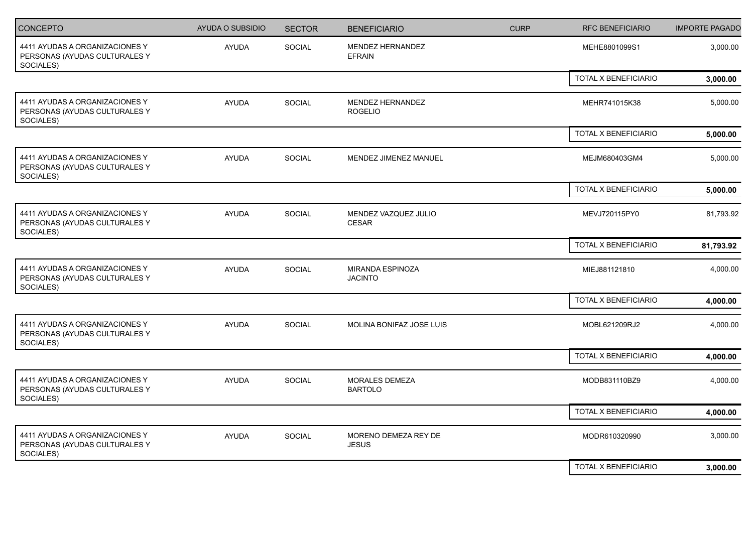| <b>CONCEPTO</b>                                                              | <b>AYUDA O SUBSIDIO</b> | <b>SECTOR</b> | <b>BENEFICIARIO</b>                     | <b>CURP</b> | <b>RFC BENEFICIARIO</b>     | <b>IMPORTE PAGADO</b> |
|------------------------------------------------------------------------------|-------------------------|---------------|-----------------------------------------|-------------|-----------------------------|-----------------------|
| 4411 AYUDAS A ORGANIZACIONES Y<br>PERSONAS (AYUDAS CULTURALES Y<br>SOCIALES) | AYUDA                   | SOCIAL        | MENDEZ HERNANDEZ<br>EFRAIN              |             | MEHE8801099S1               | 3,000.00              |
|                                                                              |                         |               |                                         |             | TOTAL X BENEFICIARIO        | 3,000.00              |
| 4411 AYUDAS A ORGANIZACIONES Y<br>PERSONAS (AYUDAS CULTURALES Y<br>SOCIALES) | <b>AYUDA</b>            | <b>SOCIAL</b> | MENDEZ HERNANDEZ<br><b>ROGELIO</b>      |             | MEHR741015K38               | 5,000.00              |
|                                                                              |                         |               |                                         |             | <b>TOTAL X BENEFICIARIO</b> | 5,000.00              |
| 4411 AYUDAS A ORGANIZACIONES Y<br>PERSONAS (AYUDAS CULTURALES Y<br>SOCIALES) | <b>AYUDA</b>            | SOCIAL        | MENDEZ JIMENEZ MANUEL                   |             | MEJM680403GM4               | 5,000.00              |
|                                                                              |                         |               |                                         |             | TOTAL X BENEFICIARIO        | 5,000.00              |
| 4411 AYUDAS A ORGANIZACIONES Y<br>PERSONAS (AYUDAS CULTURALES Y<br>SOCIALES) | <b>AYUDA</b>            | SOCIAL        | MENDEZ VAZQUEZ JULIO<br><b>CESAR</b>    |             | MEVJ720115PY0               | 81,793.92             |
|                                                                              |                         |               |                                         |             | TOTAL X BENEFICIARIO        | 81,793.92             |
| 4411 AYUDAS A ORGANIZACIONES Y<br>PERSONAS (AYUDAS CULTURALES Y<br>SOCIALES) | <b>AYUDA</b>            | SOCIAL        | MIRANDA ESPINOZA<br><b>JACINTO</b>      |             | MIEJ881121810               | 4,000.00              |
|                                                                              |                         |               |                                         |             | <b>TOTAL X BENEFICIARIO</b> | 4,000.00              |
| 4411 AYUDAS A ORGANIZACIONES Y<br>PERSONAS (AYUDAS CULTURALES Y<br>SOCIALES) | <b>AYUDA</b>            | SOCIAL        | MOLINA BONIFAZ JOSE LUIS                |             | MOBL621209RJ2               | 4,000.00              |
|                                                                              |                         |               |                                         |             | TOTAL X BENEFICIARIO        | 4,000.00              |
| 4411 AYUDAS A ORGANIZACIONES Y<br>PERSONAS (AYUDAS CULTURALES Y<br>SOCIALES) | <b>AYUDA</b>            | SOCIAL        | <b>MORALES DEMEZA</b><br><b>BARTOLO</b> |             | MODB831110BZ9               | 4,000.00              |
|                                                                              |                         |               |                                         |             | TOTAL X BENEFICIARIO        | 4,000.00              |
| 4411 AYUDAS A ORGANIZACIONES Y<br>PERSONAS (AYUDAS CULTURALES Y<br>SOCIALES) | <b>AYUDA</b>            | SOCIAL        | MORENO DEMEZA REY DE<br><b>JESUS</b>    |             | MODR610320990               | 3,000.00              |
|                                                                              |                         |               |                                         |             | TOTAL X BENEFICIARIO        | 3,000.00              |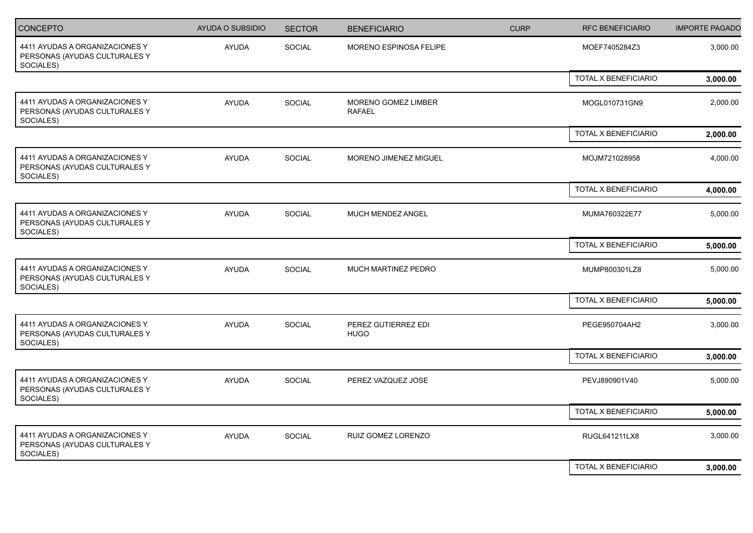| CONCEPTO                                                                     | <b>AYUDA O SUBSIDIO</b> | <b>SECTOR</b> | <b>BENEFICIARIO</b>                  | <b>CURP</b> | <b>RFC BENEFICIARIO</b>     | <b>IMPORTE PAGADO</b> |
|------------------------------------------------------------------------------|-------------------------|---------------|--------------------------------------|-------------|-----------------------------|-----------------------|
| 4411 AYUDAS A ORGANIZACIONES Y<br>PERSONAS (AYUDAS CULTURALES Y<br>SOCIALES) | AYUDA                   | SOCIAL        | MORENO ESPINOSA FELIPE               |             | MOEF7405284Z3               | 3,000.00              |
|                                                                              |                         |               |                                      |             | TOTAL X BENEFICIARIO        | 3,000.00              |
| 4411 AYUDAS A ORGANIZACIONES Y<br>PERSONAS (AYUDAS CULTURALES Y<br>SOCIALES) | AYUDA                   | SOCIAL        | MORENO GOMEZ LIMBER<br><b>RAFAEL</b> |             | MOGL010731GN9               | 2,000.00              |
|                                                                              |                         |               |                                      |             | TOTAL X BENEFICIARIO        | 2,000.00              |
| 4411 AYUDAS A ORGANIZACIONES Y<br>PERSONAS (AYUDAS CULTURALES Y<br>SOCIALES) | <b>AYUDA</b>            | SOCIAL        | MORENO JIMENEZ MIGUEL                |             | MOJM721028958               | 4,000.00              |
|                                                                              |                         |               |                                      |             | <b>TOTAL X BENEFICIARIO</b> | 4,000.00              |
| 4411 AYUDAS A ORGANIZACIONES Y<br>PERSONAS (AYUDAS CULTURALES Y<br>SOCIALES) | <b>AYUDA</b>            | SOCIAL        | MUCH MENDEZ ANGEL                    |             | MUMA760322E77               | 5,000.00              |
|                                                                              |                         |               |                                      |             | TOTAL X BENEFICIARIO        | 5,000.00              |
| 4411 AYUDAS A ORGANIZACIONES Y<br>PERSONAS (AYUDAS CULTURALES Y<br>SOCIALES) | <b>AYUDA</b>            | SOCIAL        | MUCH MARTINEZ PEDRO                  |             | MUMP800301LZ8               | 5,000.00              |
|                                                                              |                         |               |                                      |             | TOTAL X BENEFICIARIO        | 5,000.00              |
| 4411 AYUDAS A ORGANIZACIONES Y<br>PERSONAS (AYUDAS CULTURALES Y<br>SOCIALES) | AYUDA                   | SOCIAL        | PEREZ GUTIERREZ EDI<br><b>HUGO</b>   |             | PEGE950704AH2               | 3,000.00              |
|                                                                              |                         |               |                                      |             | TOTAL X BENEFICIARIO        | 3,000.00              |
| 4411 AYUDAS A ORGANIZACIONES Y<br>PERSONAS (AYUDAS CULTURALES Y<br>SOCIALES) | <b>AYUDA</b>            | SOCIAL        | PEREZ VAZQUEZ JOSE                   |             | PEVJ890901V40               | 5,000.00              |
|                                                                              |                         |               |                                      |             | TOTAL X BENEFICIARIO        | 5,000.00              |
| 4411 AYUDAS A ORGANIZACIONES Y<br>PERSONAS (AYUDAS CULTURALES Y<br>SOCIALES) | <b>AYUDA</b>            | SOCIAL        | RUIZ GOMEZ LORENZO                   |             | RUGL641211LX8               | 3,000.00              |
|                                                                              |                         |               |                                      |             | TOTAL X BENEFICIARIO        | 3,000.00              |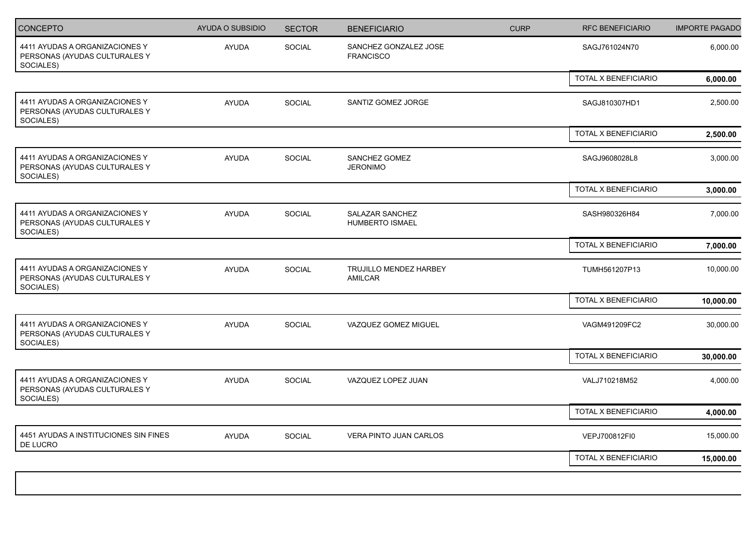| <b>CONCEPTO</b>                                                              | AYUDA O SUBSIDIO | <b>SECTOR</b> | <b>BENEFICIARIO</b>                       | <b>CURP</b> | <b>RFC BENEFICIARIO</b> | <b>IMPORTE PAGADO</b> |
|------------------------------------------------------------------------------|------------------|---------------|-------------------------------------------|-------------|-------------------------|-----------------------|
| 4411 AYUDAS A ORGANIZACIONES Y<br>PERSONAS (AYUDAS CULTURALES Y<br>SOCIALES) | <b>AYUDA</b>     | SOCIAL        | SANCHEZ GONZALEZ JOSE<br><b>FRANCISCO</b> |             | SAGJ761024N70           | 6,000.00              |
|                                                                              |                  |               |                                           |             | TOTAL X BENEFICIARIO    | 6,000.00              |
| 4411 AYUDAS A ORGANIZACIONES Y<br>PERSONAS (AYUDAS CULTURALES Y<br>SOCIALES) | <b>AYUDA</b>     | SOCIAL        | SANTIZ GOMEZ JORGE                        |             | SAGJ810307HD1           | 2,500.00              |
|                                                                              |                  |               |                                           |             | TOTAL X BENEFICIARIO    | 2,500.00              |
| 4411 AYUDAS A ORGANIZACIONES Y<br>PERSONAS (AYUDAS CULTURALES Y<br>SOCIALES) | AYUDA            | <b>SOCIAL</b> | SANCHEZ GOMEZ<br><b>JERONIMO</b>          |             | SAGJ9608028L8           | 3,000.00              |
|                                                                              |                  |               |                                           |             | TOTAL X BENEFICIARIO    | 3,000.00              |
| 4411 AYUDAS A ORGANIZACIONES Y<br>PERSONAS (AYUDAS CULTURALES Y<br>SOCIALES) | AYUDA            | SOCIAL        | SALAZAR SANCHEZ<br><b>HUMBERTO ISMAEL</b> |             | SASH980326H84           | 7,000.00              |
|                                                                              |                  |               |                                           |             | TOTAL X BENEFICIARIO    | 7,000.00              |
| 4411 AYUDAS A ORGANIZACIONES Y<br>PERSONAS (AYUDAS CULTURALES Y<br>SOCIALES) | AYUDA            | SOCIAL        | TRUJILLO MENDEZ HARBEY<br>AMILCAR         |             | TUMH561207P13           | 10,000.00             |
|                                                                              |                  |               |                                           |             | TOTAL X BENEFICIARIO    | 10,000.00             |
| 4411 AYUDAS A ORGANIZACIONES Y<br>PERSONAS (AYUDAS CULTURALES Y<br>SOCIALES) | <b>AYUDA</b>     | SOCIAL        | VAZQUEZ GOMEZ MIGUEL                      |             | VAGM491209FC2           | 30,000.00             |
|                                                                              |                  |               |                                           |             | TOTAL X BENEFICIARIO    | 30,000.00             |
| 4411 AYUDAS A ORGANIZACIONES Y<br>PERSONAS (AYUDAS CULTURALES Y<br>SOCIALES) | <b>AYUDA</b>     | <b>SOCIAL</b> | VAZQUEZ LOPEZ JUAN                        |             | VALJ710218M52           | 4,000.00              |
|                                                                              |                  |               |                                           |             | TOTAL X BENEFICIARIO    | 4,000.00              |
| 4451 AYUDAS A INSTITUCIONES SIN FINES<br>DE LUCRO                            | <b>AYUDA</b>     | SOCIAL        | VERA PINTO JUAN CARLOS                    |             | VEPJ700812FI0           | 15,000.00             |
|                                                                              |                  |               |                                           |             | TOTAL X BENEFICIARIO    | 15,000.00             |